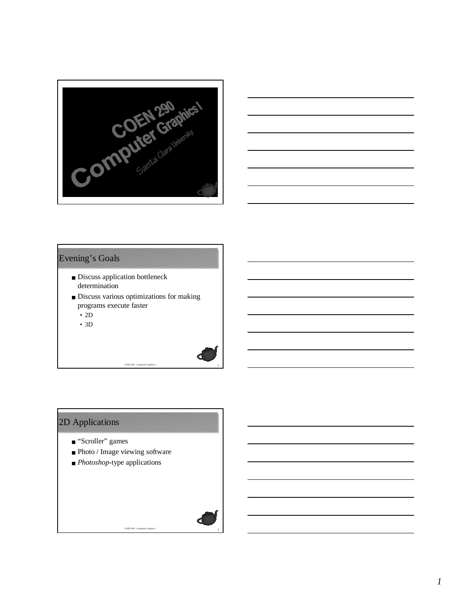



#### Evening's Goals

- Discuss application bottleneck determination
- Discuss various optimizations for making programs execute faster

<sup>2</sup> COEN 290 - Computer Graphics I

- 2D
- 3D

# 2D Applications

- "Scroller" games
- Photo / Image viewing software

<sup>3</sup> COEN 290 - Computer Graphics I

■ *Photoshop*-type applications

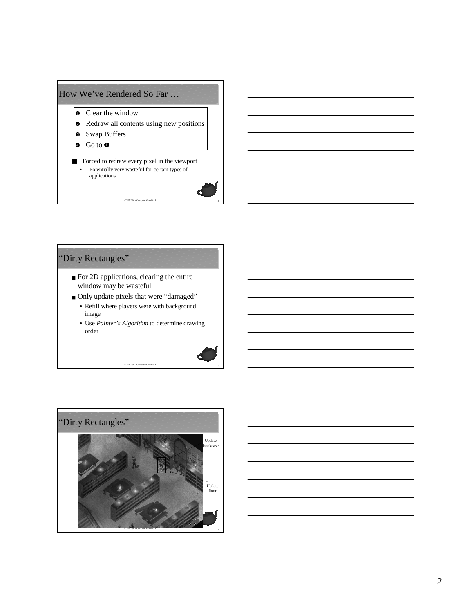## How We've Rendered So Far …

- **o** Clear the window
- **•** Redraw all contents using new positions
- Swap Buffers
- $\bullet$  Go to  $\bullet$
- Forced to redraw every pixel in the viewport • Potentially very wasteful for certain types of applications



# "Dirty Rectangles"

- For 2D applications, clearing the entire window may be wasteful
- Only update pixels that were "damaged" • Refill where players were with background image
	- Use *Painter's Algorithm* to determine drawing order





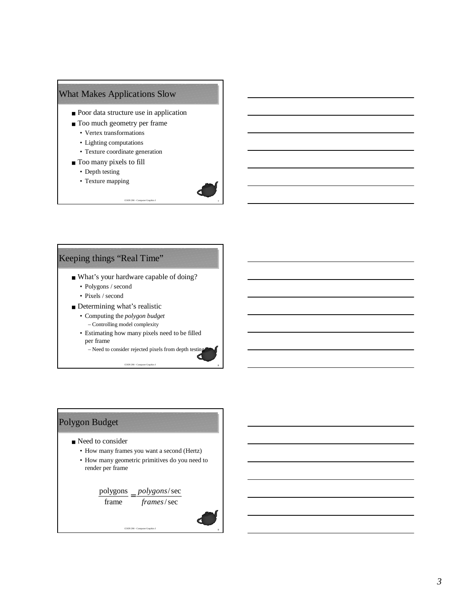#### What Makes Applications Slow

- Poor data structure use in application
- Too much geometry per frame
	- Vertex transformations
	- Lighting computations
	- Texture coordinate generation
- Too many pixels to fill
	- Depth testing
	- Texture mapping



#### Keeping things "Real Time"

- What's your hardware capable of doing?
	- Polygons / second
	- Pixels / second
- Determining what's realistic
	- Computing the *polygon budget* – Controlling model complexity
	- Estimating how many pixels need to be filled per frame

<sup>8</sup> COEN 290 - Computer Graphics I

– Need to consider rejected pixels from depth testing

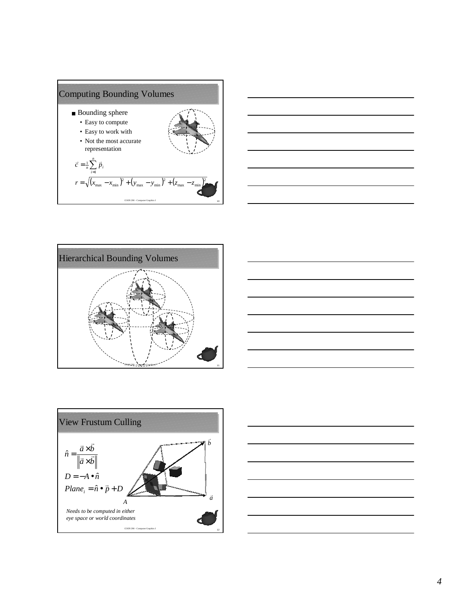